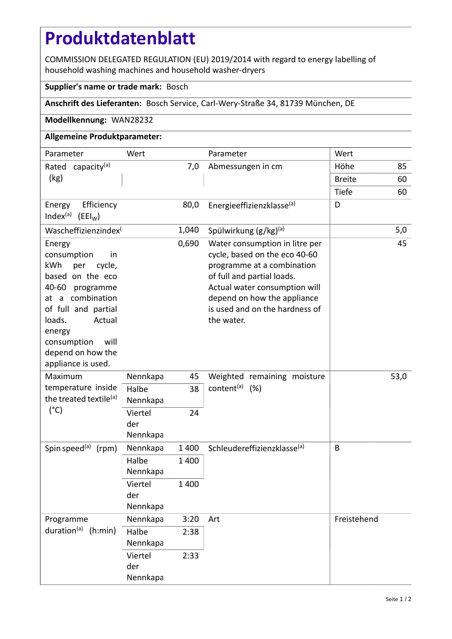# **Produktdatenblatt**

COMMISSION DELEGATED REGULATION (EU) 2019/2014 with regard to energy labelling of household washing machines and household washer-dryers

#### **Supplier's name or trade mark:** Bosch

## **Anschrift des Lieferanten:** Bosch Service, Carl-Wery-Straße 34, 81739 München, DE

#### **Modellkennung:** WAN28232

## **Allgemeine Produktparameter:**

| Parameter                                                                                                                                                                                                                             | Wert                       |         | Parameter                                                                                                                                                                                                                                   | Wert          |     |
|---------------------------------------------------------------------------------------------------------------------------------------------------------------------------------------------------------------------------------------|----------------------------|---------|---------------------------------------------------------------------------------------------------------------------------------------------------------------------------------------------------------------------------------------------|---------------|-----|
| Rated capacity <sup>(a)</sup>                                                                                                                                                                                                         | 7,0                        |         | Abmessungen in cm                                                                                                                                                                                                                           | Höhe          | 85  |
| (kg)                                                                                                                                                                                                                                  |                            |         |                                                                                                                                                                                                                                             | <b>Breite</b> | 60  |
|                                                                                                                                                                                                                                       |                            |         |                                                                                                                                                                                                                                             | Tiefe         | 60  |
| Efficiency<br>Energy<br>Index <sup>(a)</sup> (EEI <sub>W</sub> )                                                                                                                                                                      |                            | 80,0    | Energieeffizienzklasse(a)                                                                                                                                                                                                                   | D             |     |
| Wascheffizienzindex                                                                                                                                                                                                                   |                            | 1,040   | Spülwirkung $(g/kg)^{(a)}$                                                                                                                                                                                                                  |               | 5,0 |
| Energy<br>consumption<br>in<br>kWh<br>per<br>cycle,<br>based on the eco<br>40-60 programme<br>at a combination<br>of full and partial<br>loads.<br>Actual<br>energy<br>will<br>consumption<br>depend on how the<br>appliance is used. |                            | 0,690   | Water consumption in litre per<br>cycle, based on the eco 40-60<br>programme at a combination<br>of full and partial loads.<br>Actual water consumption will<br>depend on how the appliance<br>is used and on the hardness of<br>the water. |               | 45  |
| Maximum<br>temperature inside<br>the treated textile <sup>(a)</sup><br>$(^{\circ}C)$                                                                                                                                                  | Nennkapa                   | 45      | Weighted remaining moisture<br>content <sup>(a)</sup> (%)                                                                                                                                                                                   | 53,0          |     |
|                                                                                                                                                                                                                                       | Halbe<br>Nennkapa          | 38      |                                                                                                                                                                                                                                             |               |     |
|                                                                                                                                                                                                                                       | Viertel<br>der<br>Nennkapa | 24      |                                                                                                                                                                                                                                             |               |     |
| Spin speed <sup>(a)</sup><br>(rpm)                                                                                                                                                                                                    | Nennkapa                   | 1 4 0 0 | Schleudereffizienzklasse <sup>(a)</sup>                                                                                                                                                                                                     | B             |     |
|                                                                                                                                                                                                                                       | Halbe<br>Nennkapa          | 1 400   |                                                                                                                                                                                                                                             |               |     |
|                                                                                                                                                                                                                                       | Viertel<br>der<br>Nennkapa | 1 400   |                                                                                                                                                                                                                                             |               |     |
| Programme<br>duration <sup>(a)</sup> (h:min)                                                                                                                                                                                          | Nennkapa                   | 3:20    | Art                                                                                                                                                                                                                                         | Freistehend   |     |
|                                                                                                                                                                                                                                       | Halbe<br>Nennkapa          | 2:38    |                                                                                                                                                                                                                                             |               |     |
|                                                                                                                                                                                                                                       | Viertel<br>der<br>Nennkapa | 2:33    |                                                                                                                                                                                                                                             |               |     |